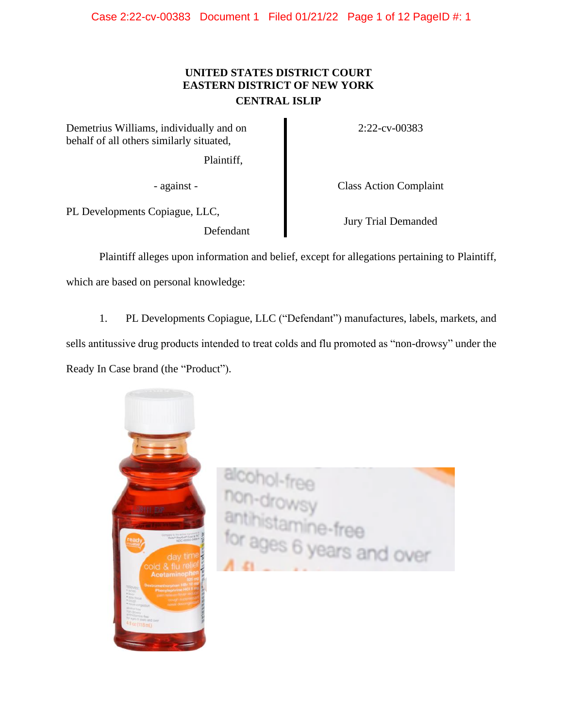# **UNITED STATES DISTRICT COURT EASTERN DISTRICT OF NEW YORK CENTRAL ISLIP**

Demetrius Williams, individually and on behalf of all others similarly situated,

Plaintiff,

PL Developments Copiague, LLC,

Defendant

2:22-cv-00383

- against - Class Action Complaint

Jury Trial Demanded

Plaintiff alleges upon information and belief, except for allegations pertaining to Plaintiff, which are based on personal knowledge:

1. PL Developments Copiague, LLC ("Defendant") manufactures, labels, markets, and sells antitussive drug products intended to treat colds and flu promoted as "non-drowsy" under the Ready In Case brand (the "Product").



aiconol-free<br>non-drowsy<br>antihistamine-free<br>for ages 6 years a ges 6 years and over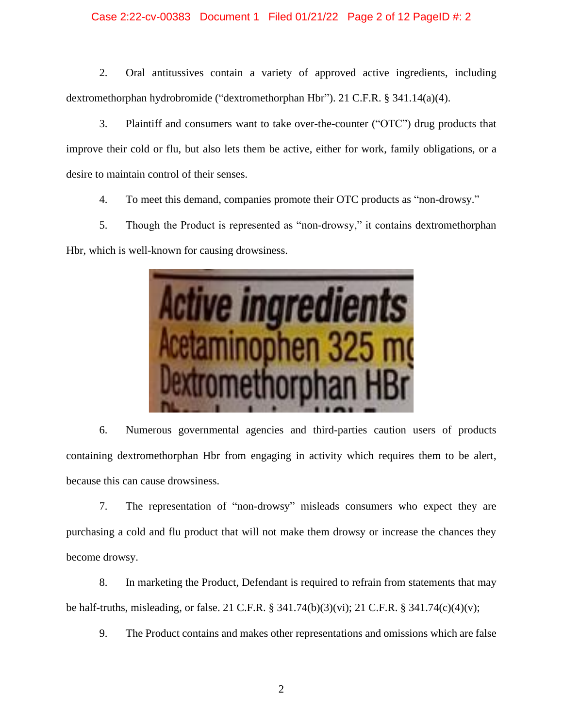## Case 2:22-cv-00383 Document 1 Filed 01/21/22 Page 2 of 12 PageID #: 2

2. Oral antitussives contain a variety of approved active ingredients, including dextromethorphan hydrobromide ("dextromethorphan Hbr"). 21 C.F.R. § 341.14(a)(4).

3. Plaintiff and consumers want to take over-the-counter ("OTC") drug products that improve their cold or flu, but also lets them be active, either for work, family obligations, or a desire to maintain control of their senses.

4. To meet this demand, companies promote their OTC products as "non-drowsy."

5. Though the Product is represented as "non-drowsy," it contains dextromethorphan Hbr, which is well-known for causing drowsiness.



6. Numerous governmental agencies and third-parties caution users of products containing dextromethorphan Hbr from engaging in activity which requires them to be alert, because this can cause drowsiness.

7. The representation of "non-drowsy" misleads consumers who expect they are purchasing a cold and flu product that will not make them drowsy or increase the chances they become drowsy.

8. In marketing the Product, Defendant is required to refrain from statements that may be half-truths, misleading, or false. 21 C.F.R. § 341.74(b)(3)(vi); 21 C.F.R. § 341.74(c)(4)(v);

9. The Product contains and makes other representations and omissions which are false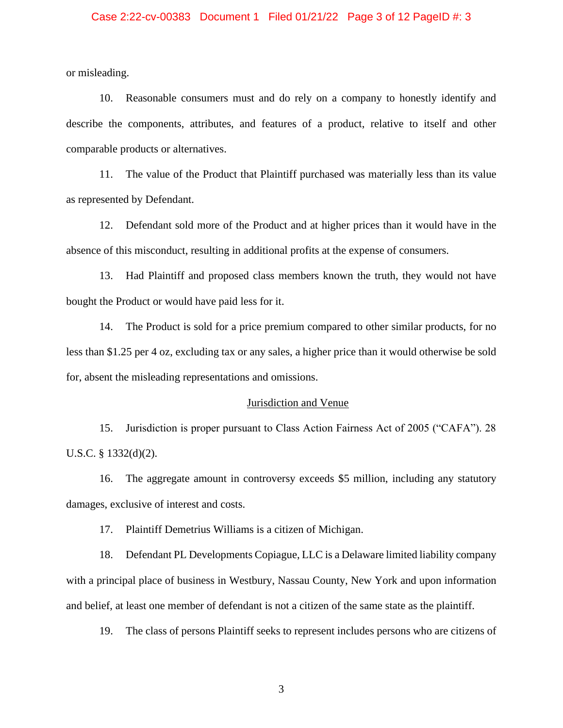#### Case 2:22-cv-00383 Document 1 Filed 01/21/22 Page 3 of 12 PageID #: 3

or misleading.

10. Reasonable consumers must and do rely on a company to honestly identify and describe the components, attributes, and features of a product, relative to itself and other comparable products or alternatives.

11. The value of the Product that Plaintiff purchased was materially less than its value as represented by Defendant.

12. Defendant sold more of the Product and at higher prices than it would have in the absence of this misconduct, resulting in additional profits at the expense of consumers.

13. Had Plaintiff and proposed class members known the truth, they would not have bought the Product or would have paid less for it.

14. The Product is sold for a price premium compared to other similar products, for no less than \$1.25 per 4 oz, excluding tax or any sales, a higher price than it would otherwise be sold for, absent the misleading representations and omissions.

#### Jurisdiction and Venue

15. Jurisdiction is proper pursuant to Class Action Fairness Act of 2005 ("CAFA"). 28 U.S.C. § 1332(d)(2).

16. The aggregate amount in controversy exceeds \$5 million, including any statutory damages, exclusive of interest and costs.

17. Plaintiff Demetrius Williams is a citizen of Michigan.

18. Defendant PL Developments Copiague, LLC is a Delaware limited liability company with a principal place of business in Westbury, Nassau County, New York and upon information and belief, at least one member of defendant is not a citizen of the same state as the plaintiff.

19. The class of persons Plaintiff seeks to represent includes persons who are citizens of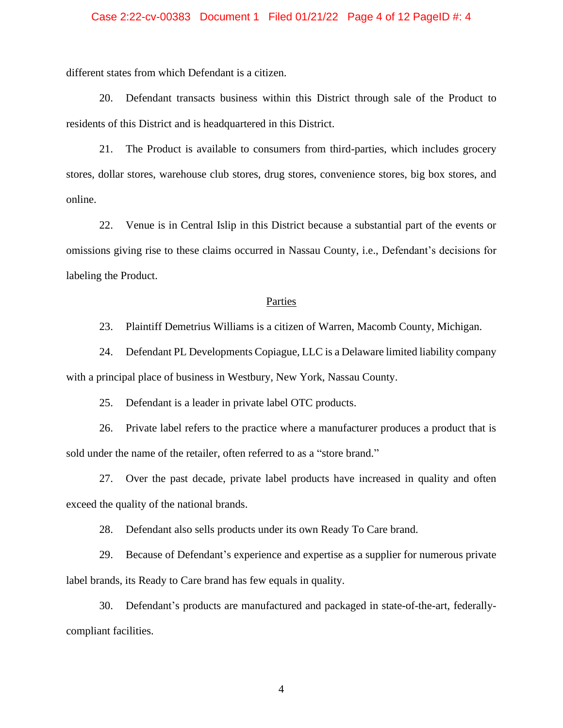#### Case 2:22-cv-00383 Document 1 Filed 01/21/22 Page 4 of 12 PageID #: 4

different states from which Defendant is a citizen.

20. Defendant transacts business within this District through sale of the Product to residents of this District and is headquartered in this District.

21. The Product is available to consumers from third-parties, which includes grocery stores, dollar stores, warehouse club stores, drug stores, convenience stores, big box stores, and online.

22. Venue is in Central Islip in this District because a substantial part of the events or omissions giving rise to these claims occurred in Nassau County, i.e., Defendant's decisions for labeling the Product.

#### Parties

23. Plaintiff Demetrius Williams is a citizen of Warren, Macomb County, Michigan.

24. Defendant PL Developments Copiague, LLC is a Delaware limited liability company with a principal place of business in Westbury, New York, Nassau County.

25. Defendant is a leader in private label OTC products.

26. Private label refers to the practice where a manufacturer produces a product that is sold under the name of the retailer, often referred to as a "store brand."

27. Over the past decade, private label products have increased in quality and often exceed the quality of the national brands.

28. Defendant also sells products under its own Ready To Care brand.

29. Because of Defendant's experience and expertise as a supplier for numerous private label brands, its Ready to Care brand has few equals in quality.

30. Defendant's products are manufactured and packaged in state-of-the-art, federallycompliant facilities.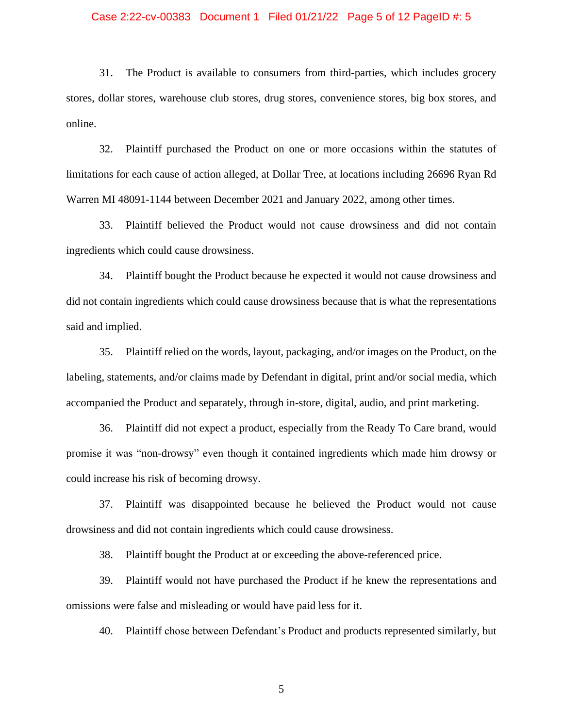#### Case 2:22-cv-00383 Document 1 Filed 01/21/22 Page 5 of 12 PageID #: 5

31. The Product is available to consumers from third-parties, which includes grocery stores, dollar stores, warehouse club stores, drug stores, convenience stores, big box stores, and online.

32. Plaintiff purchased the Product on one or more occasions within the statutes of limitations for each cause of action alleged, at Dollar Tree, at locations including 26696 Ryan Rd Warren MI 48091-1144 between December 2021 and January 2022, among other times.

33. Plaintiff believed the Product would not cause drowsiness and did not contain ingredients which could cause drowsiness.

34. Plaintiff bought the Product because he expected it would not cause drowsiness and did not contain ingredients which could cause drowsiness because that is what the representations said and implied.

35. Plaintiff relied on the words, layout, packaging, and/or images on the Product, on the labeling, statements, and/or claims made by Defendant in digital, print and/or social media, which accompanied the Product and separately, through in-store, digital, audio, and print marketing.

36. Plaintiff did not expect a product, especially from the Ready To Care brand, would promise it was "non-drowsy" even though it contained ingredients which made him drowsy or could increase his risk of becoming drowsy.

37. Plaintiff was disappointed because he believed the Product would not cause drowsiness and did not contain ingredients which could cause drowsiness.

38. Plaintiff bought the Product at or exceeding the above-referenced price.

39. Plaintiff would not have purchased the Product if he knew the representations and omissions were false and misleading or would have paid less for it.

40. Plaintiff chose between Defendant's Product and products represented similarly, but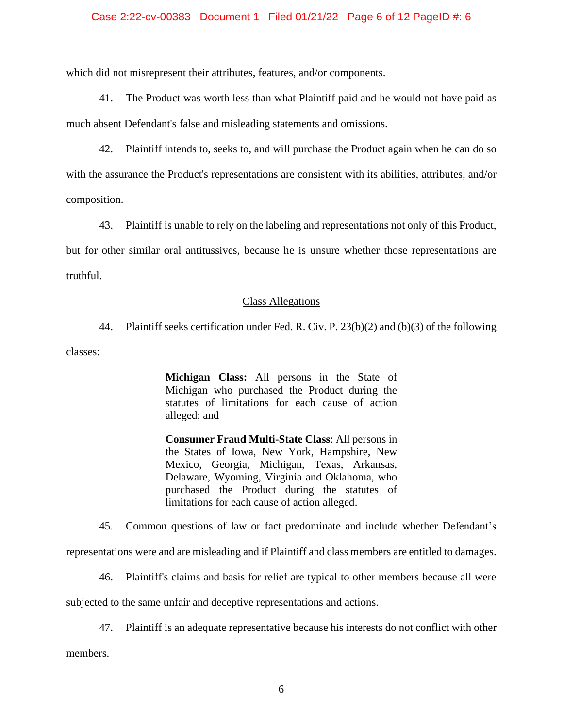#### Case 2:22-cv-00383 Document 1 Filed 01/21/22 Page 6 of 12 PageID #: 6

which did not misrepresent their attributes, features, and/or components.

41. The Product was worth less than what Plaintiff paid and he would not have paid as much absent Defendant's false and misleading statements and omissions.

42. Plaintiff intends to, seeks to, and will purchase the Product again when he can do so with the assurance the Product's representations are consistent with its abilities, attributes, and/or composition.

43. Plaintiff is unable to rely on the labeling and representations not only of this Product,

but for other similar oral antitussives, because he is unsure whether those representations are truthful.

#### Class Allegations

44. Plaintiff seeks certification under Fed. R. Civ. P. 23(b)(2) and (b)(3) of the following classes:

> **Michigan Class:** All persons in the State of Michigan who purchased the Product during the statutes of limitations for each cause of action alleged; and

> **Consumer Fraud Multi-State Class**: All persons in the States of Iowa, New York, Hampshire, New Mexico, Georgia, Michigan, Texas, Arkansas, Delaware, Wyoming, Virginia and Oklahoma, who purchased the Product during the statutes of limitations for each cause of action alleged.

45. Common questions of law or fact predominate and include whether Defendant's

representations were and are misleading and if Plaintiff and class members are entitled to damages.

46. Plaintiff's claims and basis for relief are typical to other members because all were

subjected to the same unfair and deceptive representations and actions.

47. Plaintiff is an adequate representative because his interests do not conflict with other

members.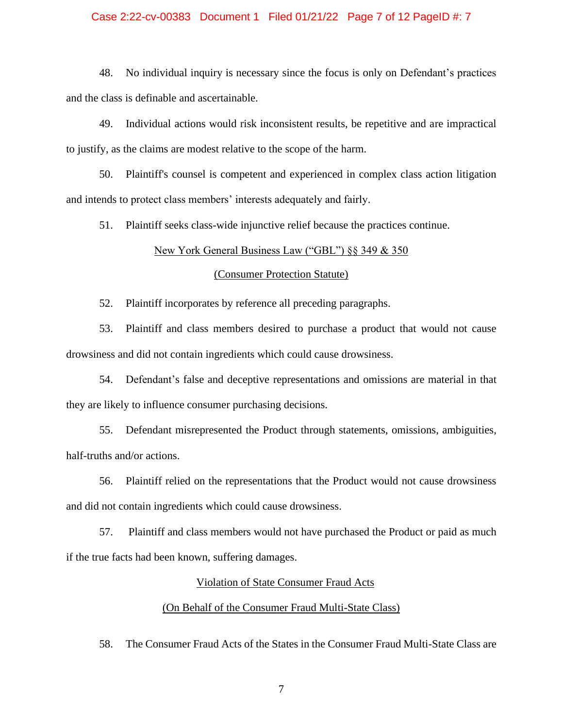### Case 2:22-cv-00383 Document 1 Filed 01/21/22 Page 7 of 12 PageID #: 7

48. No individual inquiry is necessary since the focus is only on Defendant's practices and the class is definable and ascertainable.

49. Individual actions would risk inconsistent results, be repetitive and are impractical to justify, as the claims are modest relative to the scope of the harm.

50. Plaintiff's counsel is competent and experienced in complex class action litigation and intends to protect class members' interests adequately and fairly.

51. Plaintiff seeks class-wide injunctive relief because the practices continue.

#### New York General Business Law ("GBL") §§ 349 & 350

#### (Consumer Protection Statute)

52. Plaintiff incorporates by reference all preceding paragraphs.

53. Plaintiff and class members desired to purchase a product that would not cause drowsiness and did not contain ingredients which could cause drowsiness.

54. Defendant's false and deceptive representations and omissions are material in that they are likely to influence consumer purchasing decisions.

55. Defendant misrepresented the Product through statements, omissions, ambiguities, half-truths and/or actions.

56. Plaintiff relied on the representations that the Product would not cause drowsiness and did not contain ingredients which could cause drowsiness.

57. Plaintiff and class members would not have purchased the Product or paid as much if the true facts had been known, suffering damages.

## Violation of State Consumer Fraud Acts

# (On Behalf of the Consumer Fraud Multi-State Class)

58. The Consumer Fraud Acts of the States in the Consumer Fraud Multi-State Class are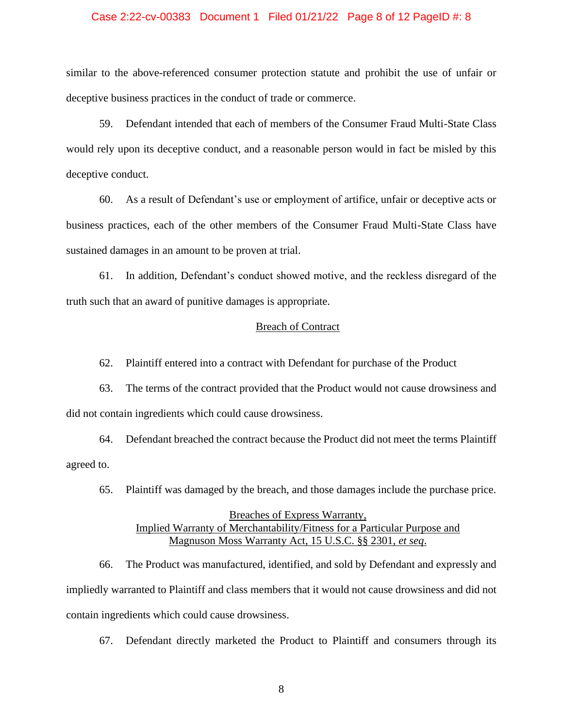#### Case 2:22-cv-00383 Document 1 Filed 01/21/22 Page 8 of 12 PageID #: 8

similar to the above-referenced consumer protection statute and prohibit the use of unfair or deceptive business practices in the conduct of trade or commerce.

59. Defendant intended that each of members of the Consumer Fraud Multi-State Class would rely upon its deceptive conduct, and a reasonable person would in fact be misled by this deceptive conduct.

60. As a result of Defendant's use or employment of artifice, unfair or deceptive acts or business practices, each of the other members of the Consumer Fraud Multi-State Class have sustained damages in an amount to be proven at trial.

61. In addition, Defendant's conduct showed motive, and the reckless disregard of the truth such that an award of punitive damages is appropriate.

## **Breach of Contract**

62. Plaintiff entered into a contract with Defendant for purchase of the Product

63. The terms of the contract provided that the Product would not cause drowsiness and did not contain ingredients which could cause drowsiness.

64. Defendant breached the contract because the Product did not meet the terms Plaintiff agreed to.

65. Plaintiff was damaged by the breach, and those damages include the purchase price.

# Breaches of Express Warranty, Implied Warranty of Merchantability/Fitness for a Particular Purpose and Magnuson Moss Warranty Act, 15 U.S.C. §§ 2301, *et seq*.

66. The Product was manufactured, identified, and sold by Defendant and expressly and impliedly warranted to Plaintiff and class members that it would not cause drowsiness and did not contain ingredients which could cause drowsiness.

67. Defendant directly marketed the Product to Plaintiff and consumers through its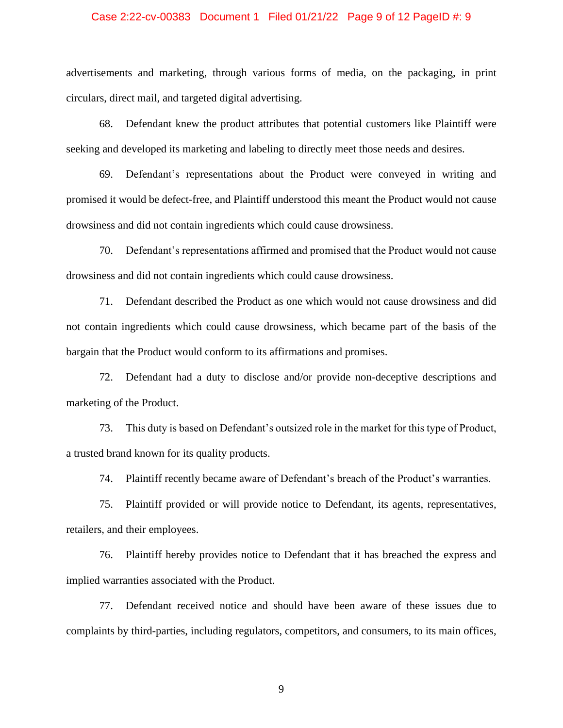#### Case 2:22-cv-00383 Document 1 Filed 01/21/22 Page 9 of 12 PageID #: 9

advertisements and marketing, through various forms of media, on the packaging, in print circulars, direct mail, and targeted digital advertising.

68. Defendant knew the product attributes that potential customers like Plaintiff were seeking and developed its marketing and labeling to directly meet those needs and desires.

69. Defendant's representations about the Product were conveyed in writing and promised it would be defect-free, and Plaintiff understood this meant the Product would not cause drowsiness and did not contain ingredients which could cause drowsiness.

70. Defendant's representations affirmed and promised that the Product would not cause drowsiness and did not contain ingredients which could cause drowsiness.

71. Defendant described the Product as one which would not cause drowsiness and did not contain ingredients which could cause drowsiness, which became part of the basis of the bargain that the Product would conform to its affirmations and promises.

72. Defendant had a duty to disclose and/or provide non-deceptive descriptions and marketing of the Product.

73. This duty is based on Defendant's outsized role in the market for this type of Product, a trusted brand known for its quality products.

74. Plaintiff recently became aware of Defendant's breach of the Product's warranties.

75. Plaintiff provided or will provide notice to Defendant, its agents, representatives, retailers, and their employees.

76. Plaintiff hereby provides notice to Defendant that it has breached the express and implied warranties associated with the Product.

77. Defendant received notice and should have been aware of these issues due to complaints by third-parties, including regulators, competitors, and consumers, to its main offices,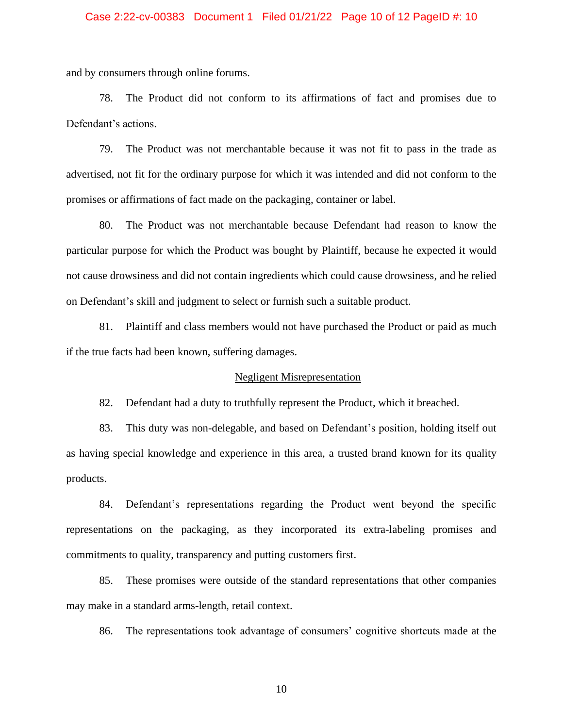#### Case 2:22-cv-00383 Document 1 Filed 01/21/22 Page 10 of 12 PageID #: 10

and by consumers through online forums.

78. The Product did not conform to its affirmations of fact and promises due to Defendant's actions.

79. The Product was not merchantable because it was not fit to pass in the trade as advertised, not fit for the ordinary purpose for which it was intended and did not conform to the promises or affirmations of fact made on the packaging, container or label.

80. The Product was not merchantable because Defendant had reason to know the particular purpose for which the Product was bought by Plaintiff, because he expected it would not cause drowsiness and did not contain ingredients which could cause drowsiness, and he relied on Defendant's skill and judgment to select or furnish such a suitable product.

81. Plaintiff and class members would not have purchased the Product or paid as much if the true facts had been known, suffering damages.

#### Negligent Misrepresentation

82. Defendant had a duty to truthfully represent the Product, which it breached.

83. This duty was non-delegable, and based on Defendant's position, holding itself out as having special knowledge and experience in this area, a trusted brand known for its quality products.

84. Defendant's representations regarding the Product went beyond the specific representations on the packaging, as they incorporated its extra-labeling promises and commitments to quality, transparency and putting customers first.

85. These promises were outside of the standard representations that other companies may make in a standard arms-length, retail context.

86. The representations took advantage of consumers' cognitive shortcuts made at the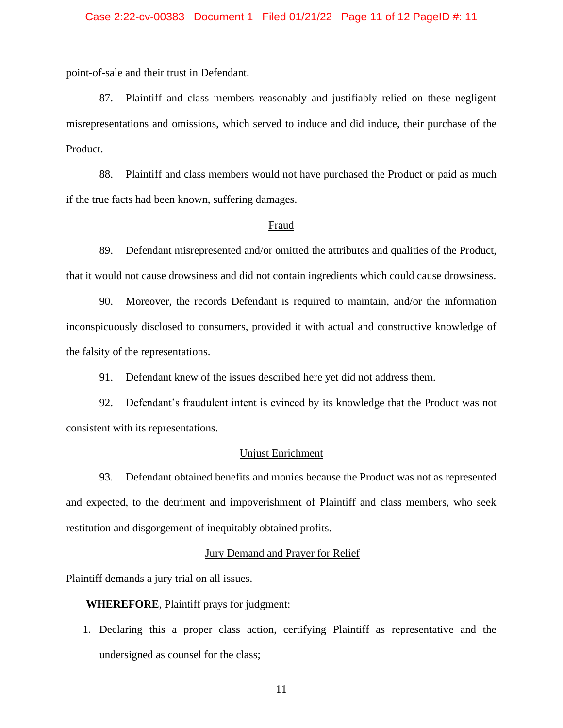#### Case 2:22-cv-00383 Document 1 Filed 01/21/22 Page 11 of 12 PageID #: 11

point-of-sale and their trust in Defendant.

87. Plaintiff and class members reasonably and justifiably relied on these negligent misrepresentations and omissions, which served to induce and did induce, their purchase of the Product.

88. Plaintiff and class members would not have purchased the Product or paid as much if the true facts had been known, suffering damages.

#### Fraud

89. Defendant misrepresented and/or omitted the attributes and qualities of the Product, that it would not cause drowsiness and did not contain ingredients which could cause drowsiness.

90. Moreover, the records Defendant is required to maintain, and/or the information inconspicuously disclosed to consumers, provided it with actual and constructive knowledge of the falsity of the representations.

91. Defendant knew of the issues described here yet did not address them.

92. Defendant's fraudulent intent is evinced by its knowledge that the Product was not consistent with its representations.

### Unjust Enrichment

93. Defendant obtained benefits and monies because the Product was not as represented and expected, to the detriment and impoverishment of Plaintiff and class members, who seek restitution and disgorgement of inequitably obtained profits.

## Jury Demand and Prayer for Relief

Plaintiff demands a jury trial on all issues.

**WHEREFORE**, Plaintiff prays for judgment:

1. Declaring this a proper class action, certifying Plaintiff as representative and the undersigned as counsel for the class;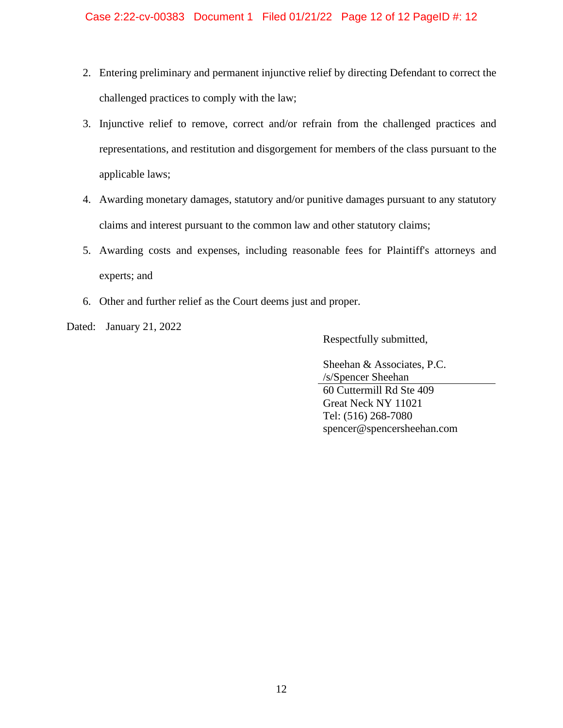- 2. Entering preliminary and permanent injunctive relief by directing Defendant to correct the challenged practices to comply with the law;
- 3. Injunctive relief to remove, correct and/or refrain from the challenged practices and representations, and restitution and disgorgement for members of the class pursuant to the applicable laws;
- 4. Awarding monetary damages, statutory and/or punitive damages pursuant to any statutory claims and interest pursuant to the common law and other statutory claims;
- 5. Awarding costs and expenses, including reasonable fees for Plaintiff's attorneys and experts; and
- 6. Other and further relief as the Court deems just and proper.
- Dated: January 21, 2022

Respectfully submitted,

Sheehan & Associates, P.C. /s/Spencer Sheehan 60 Cuttermill Rd Ste 409 Great Neck NY 11021 Tel: (516) 268-7080 spencer@spencersheehan.com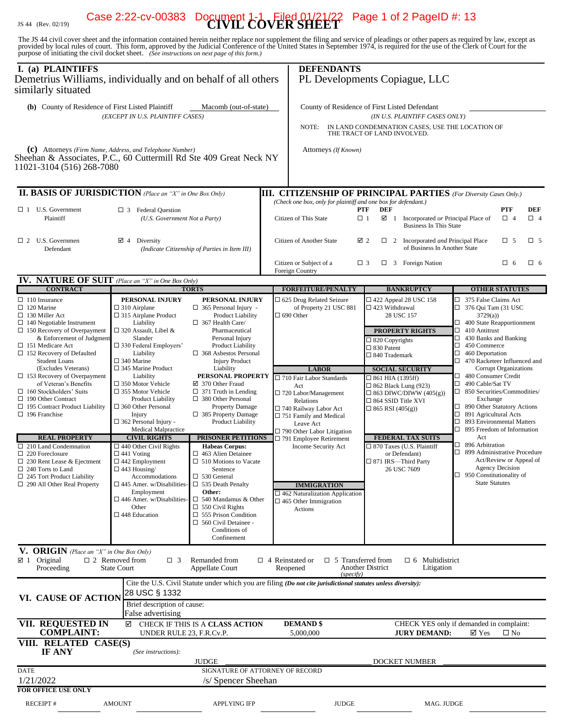# JS 44 (Rev. 02/19) **CIVIL COVER SHEET** Case 2:22-cv-00383 Document 1-1 Filed 01/21/22 Page 1 of 2 PageID #: 13

The JS 44 civil cover sheet and the information contained herein neither replace nor supplement the filing and service of pleadings or other papers as required by law, except as provided by local rules of court. This form,

| I. (a) PLAINTIFFS<br>Demetrius Williams, individually and on behalf of all others<br>similarly situated                                                                                                                                                                                                                                                                                                               |                                                                                                                                                                                                                                                                                                                                |                                                                                                                                                                                                                                                                                                                                                     | <b>DEFENDANTS</b><br>PL Developments Copiague, LLC                                                                                                                                                                                        |                                                                                                                                                                                                                                                                                        |                                                                                                                                                                                                                                                                                                                                                                                    |  |  |  |
|-----------------------------------------------------------------------------------------------------------------------------------------------------------------------------------------------------------------------------------------------------------------------------------------------------------------------------------------------------------------------------------------------------------------------|--------------------------------------------------------------------------------------------------------------------------------------------------------------------------------------------------------------------------------------------------------------------------------------------------------------------------------|-----------------------------------------------------------------------------------------------------------------------------------------------------------------------------------------------------------------------------------------------------------------------------------------------------------------------------------------------------|-------------------------------------------------------------------------------------------------------------------------------------------------------------------------------------------------------------------------------------------|----------------------------------------------------------------------------------------------------------------------------------------------------------------------------------------------------------------------------------------------------------------------------------------|------------------------------------------------------------------------------------------------------------------------------------------------------------------------------------------------------------------------------------------------------------------------------------------------------------------------------------------------------------------------------------|--|--|--|
| (b) County of Residence of First Listed Plaintiff                                                                                                                                                                                                                                                                                                                                                                     | (EXCEPT IN U.S. PLAINTIFF CASES)                                                                                                                                                                                                                                                                                               | Macomb (out-of-state)                                                                                                                                                                                                                                                                                                                               | NOTE:                                                                                                                                                                                                                                     | County of Residence of First Listed Defendant<br>(IN U.S. PLAINTIFF CASES ONLY)<br>IN LAND CONDEMNATION CASES, USE THE LOCATION OF<br>THE TRACT OF LAND INVOLVED.                                                                                                                      |                                                                                                                                                                                                                                                                                                                                                                                    |  |  |  |
| (c) Attorneys (Firm Name, Address, and Telephone Number)<br>Sheehan & Associates, P.C., 60 Cuttermill Rd Ste 409 Great Neck NY<br>11021-3104 (516) 268-7080                                                                                                                                                                                                                                                           |                                                                                                                                                                                                                                                                                                                                |                                                                                                                                                                                                                                                                                                                                                     | Attorneys (If Known)                                                                                                                                                                                                                      |                                                                                                                                                                                                                                                                                        |                                                                                                                                                                                                                                                                                                                                                                                    |  |  |  |
| <b>II. BASIS OF JURISDICTION</b> (Place an "X" in One Box Only)                                                                                                                                                                                                                                                                                                                                                       |                                                                                                                                                                                                                                                                                                                                |                                                                                                                                                                                                                                                                                                                                                     | <b>III. CITIZENSHIP OF PRINCIPAL PARTIES</b> (For Diversity Cases Only.)                                                                                                                                                                  |                                                                                                                                                                                                                                                                                        |                                                                                                                                                                                                                                                                                                                                                                                    |  |  |  |
| $\Box$ 1 U.S. Government<br>Plaintiff                                                                                                                                                                                                                                                                                                                                                                                 | $\Box$ 3 Federal Question<br>(U.S. Government Not a Party)                                                                                                                                                                                                                                                                     |                                                                                                                                                                                                                                                                                                                                                     | (Check one box, only for plaintiff and one box for defendant.)<br><b>DEF</b><br><b>PTF</b><br>PTF<br>Citizen of This State<br>$\Box$ 1<br>$\sqrt{2}$ 1<br>$\Box$ 4<br>Incorporated or Principal Place of<br><b>Business In This State</b> |                                                                                                                                                                                                                                                                                        |                                                                                                                                                                                                                                                                                                                                                                                    |  |  |  |
| $\square$ 2 U.S. Governmen<br>Defendant                                                                                                                                                                                                                                                                                                                                                                               | $\boxtimes$ 4 Diversity<br>(Indicate Citizenship of Parties in Item III)                                                                                                                                                                                                                                                       |                                                                                                                                                                                                                                                                                                                                                     | $\Box$ 5<br>Citizen of Another State<br>☑ 2<br>$\Box$ 2 Incorporated <i>and</i> Principal Place<br>$\Box$ 5<br>of Business In Another State                                                                                               |                                                                                                                                                                                                                                                                                        |                                                                                                                                                                                                                                                                                                                                                                                    |  |  |  |
|                                                                                                                                                                                                                                                                                                                                                                                                                       |                                                                                                                                                                                                                                                                                                                                |                                                                                                                                                                                                                                                                                                                                                     | Citizen or Subject of a<br>Foreign Country                                                                                                                                                                                                | $\Box$ 3 Foreign Nation<br>$\Box$ 3                                                                                                                                                                                                                                                    | $\Box$ 6<br>$\Box$ 6                                                                                                                                                                                                                                                                                                                                                               |  |  |  |
| <b>IV. NATURE OF SUIT</b> (Place an "X" in One Box Only)<br><b>CONTRACT</b>                                                                                                                                                                                                                                                                                                                                           |                                                                                                                                                                                                                                                                                                                                | <b>TORTS</b>                                                                                                                                                                                                                                                                                                                                        | <b>FORFEITURE/PENALTY</b>                                                                                                                                                                                                                 | <b>BANKRUPTCY</b>                                                                                                                                                                                                                                                                      | <b>OTHER STATUTES</b>                                                                                                                                                                                                                                                                                                                                                              |  |  |  |
| $\Box$ 110 Insurance<br>$\Box$ 120 Marine<br>$\Box$ 130 Miller Act<br>$\Box$ 140 Negotiable Instrument<br>$\Box$ 150 Recovery of Overpayment<br>& Enforcement of Judgment<br>$\Box$ 151 Medicare Act<br>$\Box$ 152 Recovery of Defaulted<br><b>Student Loans</b><br>(Excludes Veterans)<br>$\Box$ 153 Recovery of Overpayment<br>of Veteran's Benefits<br>$\Box$ 160 Stockholders' Suits<br>$\Box$ 190 Other Contract | PERSONAL INJURY<br>$\Box$ 310 Airplane<br>$\Box$ 315 Airplane Product<br>Liability<br>$\Box$ 320 Assault, Libel &<br>Slander<br>□ 330 Federal Employers'<br>Liability<br>$\square$ 340 Marine<br>$\Box$ 345 Marine Product<br>Liability<br>$\Box$ 350 Motor Vehicle<br>$\square$ 355 Motor Vehicle<br><b>Product Liability</b> | PERSONAL INJURY<br>$\Box$ 365 Personal Injury -<br><b>Product Liability</b><br>$\Box$ 367 Health Care/<br>Pharmaceutical<br>Personal Injury<br><b>Product Liability</b><br>$\Box$ 368 Asbestos Personal<br><b>Injury Product</b><br>Liability<br>PERSONAL PROPERTY<br>☑ 370 Other Fraud<br>$\Box$ 371 Truth in Lending<br>$\Box$ 380 Other Personal | □ 625 Drug Related Seizure<br>of Property 21 USC 881<br>$\Box$ 690 Other<br><b>LABOR</b><br>□ 710 Fair Labor Standards<br>Act<br>□ 720 Labor/Management                                                                                   | $\Box$ 422 Appeal 28 USC 158<br>$\square$ 423 Withdrawal<br>28 USC 157<br><b>PROPERTY RIGHTS</b><br>$\Box$ 820 Copyrights<br>$\Box$ 830 Patent<br>□ 840 Trademark<br><b>SOCIAL SECURITY</b><br>$\Box$ 861 HIA (1395ff)<br>$\Box$ 862 Black Lung (923)<br>$\Box$ 863 DIWC/DIWW (405(g)) | $\Box$ 375 False Claims Act<br>$\Box$ 376 Qui Tam (31 USC<br>3729(a)<br>$\Box$ 400 State Reapportionment<br>$\Box$ 410 Antitrust<br>$\Box$ 430 Banks and Banking<br>$\Box$ 450 Commerce<br>$\Box$ 460 Deportation<br>$\Box$ 470 Racketeer Influenced and<br>Corrupt Organizations<br>□ 480 Consumer Credit<br>$\Box$ 490 Cable/Sat TV<br>□ 850 Securities/Commodities/<br>Exchange |  |  |  |
| $\Box$ 195 Contract Product Liability<br>$\Box$ 196 Franchise                                                                                                                                                                                                                                                                                                                                                         | □ 360 Other Personal<br>Injury<br>$\Box$ 362 Personal Injury -<br><b>Medical Malpractice</b>                                                                                                                                                                                                                                   | <b>Property Damage</b><br>$\Box$ 385 Property Damage<br><b>Product Liability</b>                                                                                                                                                                                                                                                                    | Relations<br>□ 740 Railway Labor Act<br>□ 751 Family and Medical<br>Leave Act<br>$\Box$ 790 Other Labor Litigation                                                                                                                        | $\square$ 864 SSID Title XVI<br>$\Box$ 865 RSI (405(g))                                                                                                                                                                                                                                | $\Box$ 890 Other Statutory Actions<br>□ 891 Agricultural Acts<br>$\Box$ 893 Environmental Matters<br>$\Box$ 895 Freedom of Information                                                                                                                                                                                                                                             |  |  |  |
| <b>REAL PROPERTY</b><br>$\Box$ 210 Land Condemnation<br>$\Box$ 220 Foreclosure<br>$\Box$ 230 Rent Lease & Ejectment<br>$\Box$ 240 Torts to Land<br>$\Box$ 245 Tort Product Liability<br>$\Box$ 290 All Other Real Property                                                                                                                                                                                            | <b>CIVIL RIGHTS</b><br>$\Box$ 440 Other Civil Rights<br>$\Box$ 441 Voting<br>$\Box$ 442 Employment<br>$\Box$ 443 Housing/<br>Accommodations<br>$\square$ 445 Amer. w/Disabilities-<br>Employment<br>$\square$ 446 Amer. w/Disabilities-<br>Other<br>$\square$ 448 Education                                                    | PRISONER PETITIONS<br><b>Habeas Corpus:</b><br>$\Box$ 463 Alien Detainee<br>$\Box$ 510 Motions to Vacate<br>Sentence<br>$\Box$ 530 General<br>$\Box$ 535 Death Penalty<br>Other:<br>$\Box$ 540 Mandamus & Other<br>$\Box$ 550 Civil Rights<br>$\Box$ 555 Prison Condition<br>$\Box$ 560 Civil Detainee -<br>Conditions of<br>Confinement            | $\Box$ 791 Employee Retirement<br>Income Security Act<br><b>IMMIGRATION</b><br>$\Box$ 462 Naturalization Application<br>$\square$ 465 Other Immigration<br><b>Actions</b>                                                                 | <b>FEDERAL TAX SUITS</b><br>□ 870 Taxes (U.S. Plaintiff<br>or Defendant)<br>$\Box$ 871 IRS—Third Party<br>26 USC 7609                                                                                                                                                                  | Act<br>$\Box$ 896 Arbitration<br>□ 899 Administrative Procedure<br>Act/Review or Appeal of<br><b>Agency Decision</b><br>$\Box$ 950 Constitutionality of<br><b>State Statutes</b>                                                                                                                                                                                                   |  |  |  |
| V. ORIGIN (Place an "X" in One Box Only)<br>$\boxtimes$ 1 Original<br>Proceeding                                                                                                                                                                                                                                                                                                                                      | $\Box$ 2 Removed from<br>$\Box$ 3<br><b>State Court</b>                                                                                                                                                                                                                                                                        | Remanded from<br>Appellate Court                                                                                                                                                                                                                                                                                                                    | $\Box$ 4 Reinstated or<br>$\Box$ 5 Transferred from<br>Reopened<br>(specify)                                                                                                                                                              | $\Box$ 6 Multidistrict<br><b>Another District</b><br>Litigation                                                                                                                                                                                                                        |                                                                                                                                                                                                                                                                                                                                                                                    |  |  |  |
| VI. CAUSE OF ACTION                                                                                                                                                                                                                                                                                                                                                                                                   | 28 USC § 1332<br>Brief description of cause:<br>False advertising                                                                                                                                                                                                                                                              |                                                                                                                                                                                                                                                                                                                                                     | Cite the U.S. Civil Statute under which you are filing (Do not cite jurisdictional statutes unless diversity):                                                                                                                            |                                                                                                                                                                                                                                                                                        |                                                                                                                                                                                                                                                                                                                                                                                    |  |  |  |
| <b>VII. REQUESTED IN</b><br><b>COMPLAINT:</b>                                                                                                                                                                                                                                                                                                                                                                         | ☑<br>UNDER RULE 23, F.R.Cv.P.                                                                                                                                                                                                                                                                                                  | CHECK IF THIS IS A CLASS ACTION                                                                                                                                                                                                                                                                                                                     | <b>DEMAND \$</b><br>5,000,000                                                                                                                                                                                                             | <b>JURY DEMAND:</b>                                                                                                                                                                                                                                                                    | CHECK YES only if demanded in complaint:<br>$\boxtimes$ Yes<br>$\square$ No                                                                                                                                                                                                                                                                                                        |  |  |  |
| VIII. RELATED CASE(S)<br><b>IF ANY</b>                                                                                                                                                                                                                                                                                                                                                                                | (See instructions):                                                                                                                                                                                                                                                                                                            | <b>JUDGE</b>                                                                                                                                                                                                                                                                                                                                        |                                                                                                                                                                                                                                           | DOCKET NUMBER                                                                                                                                                                                                                                                                          |                                                                                                                                                                                                                                                                                                                                                                                    |  |  |  |
| <b>DATE</b><br>1/21/2022<br>FOR OFFICE USE ONLY                                                                                                                                                                                                                                                                                                                                                                       |                                                                                                                                                                                                                                                                                                                                | SIGNATURE OF ATTORNEY OF RECORD<br>/s/ Spencer Sheehan                                                                                                                                                                                                                                                                                              |                                                                                                                                                                                                                                           |                                                                                                                                                                                                                                                                                        |                                                                                                                                                                                                                                                                                                                                                                                    |  |  |  |
| <b>RECEIPT#</b>                                                                                                                                                                                                                                                                                                                                                                                                       | <b>AMOUNT</b>                                                                                                                                                                                                                                                                                                                  | <b>APPLYING IFP</b>                                                                                                                                                                                                                                                                                                                                 | <b>JUDGE</b>                                                                                                                                                                                                                              | MAG. JUDGE                                                                                                                                                                                                                                                                             |                                                                                                                                                                                                                                                                                                                                                                                    |  |  |  |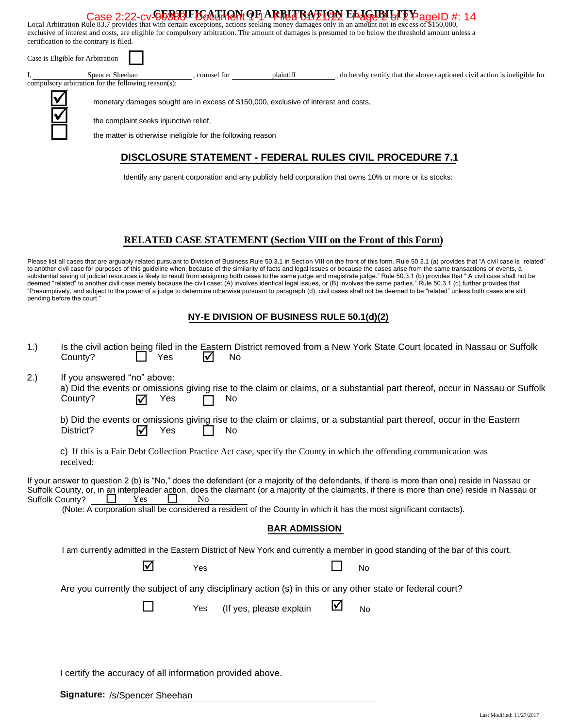#### **CERTIFICATION OF ARBITRATION ELIGIBILITY** Case 2:22-cv-00383 Phote 11 ARREA CASE 2:22-cv-00383 Page 10  $\frac{1}{4}$  of  $\frac{1}{4}$  Are  $\frac{1}{4}$   $\frac{1}{4}$   $\frac{1}{4}$   $\frac{1}{4}$   $\frac{1}{4}$   $\frac{1}{4}$   $\frac{1}{2}$   $\frac{1}{2}$   $\frac{1}{4}$   $\frac{1}{4}$   $\frac{1}{4}$   $\frac{1}{4}$   $\frac{1}{4}$   $\frac$

exclusive of interest and costs, are eligible for compulsory arbitration. The amount of damages is presumed to be below the threshold amount unless a certification to the contrary is filed.

| Case is Eligible for Arbitration |                                                                                      |             |           |                                                                             |  |  |  |
|----------------------------------|--------------------------------------------------------------------------------------|-------------|-----------|-----------------------------------------------------------------------------|--|--|--|
|                                  | Spencer Sheehan                                                                      | counsel for | plaintiff | , do hereby certify that the above captioned civil action is ineligible for |  |  |  |
|                                  | compulsory arbitration for the following reason(s):                                  |             |           |                                                                             |  |  |  |
|                                  | monetary damages sought are in excess of \$150,000, exclusive of interest and costs, |             |           |                                                                             |  |  |  |
|                                  | the complaint seeks injunctive relief.                                               |             |           |                                                                             |  |  |  |
|                                  | the matter is otherwise ineligible for the following reason                          |             |           |                                                                             |  |  |  |
|                                  |                                                                                      |             |           | <b>DISCLOSURE STATEMENT - FEDERAL RULES CIVIL PROCEDURE 7.1</b>             |  |  |  |

Identify any parent corporation and any publicly held corporation that owns 10% or more or its stocks:

# **RELATED CASE STATEMENT (Section VIII on the Front of this Form)**

Please list all cases that are arguably related pursuant to Division of Business Rule 50.3.1 in Section VIII on the front of this form. Rule 50.3.1 (a) provides that "A civil case is "related" to another civil case for purposes of this guideline when, because of the similarity of facts and legal issues or because the cases arise from the same transactions or events, a substantial saving of judicial resources is likely to result from assigning both cases to the same judge and magistrate judge." Rule 50.3.1 (b) provides that "A civil case shall not be deemed "related" to another civil case merely because the civil case: (A) involves identical legal issues, or (B) involves the same parties." Rule 50.3.1 (c) further provides that "Presumptively, and subject to the power of a judge to determine otherwise pursuant to paragraph (d), civil cases shall not be deemed to be "related" unless both cases are still pending before the court."

## **NY-E DIVISION OF BUSINESS RULE 50.1(d)(2)**

| 1.)                                                                                                                                                   | County?                                                                                                                                                                                                                                                                                                                                                                                                                                                            | Yes      | ΙV  | No                      |             | Is the civil action being filed in the Eastern District removed from a New York State Court located in Nassau or Suffolk     |  |
|-------------------------------------------------------------------------------------------------------------------------------------------------------|--------------------------------------------------------------------------------------------------------------------------------------------------------------------------------------------------------------------------------------------------------------------------------------------------------------------------------------------------------------------------------------------------------------------------------------------------------------------|----------|-----|-------------------------|-------------|------------------------------------------------------------------------------------------------------------------------------|--|
| 2.)                                                                                                                                                   | If you answered "no" above:<br>County?                                                                                                                                                                                                                                                                                                                                                                                                                             | Yes<br>☑ |     | No                      |             | a) Did the events or omissions giving rise to the claim or claims, or a substantial part thereof, occur in Nassau or Suffolk |  |
|                                                                                                                                                       | District?                                                                                                                                                                                                                                                                                                                                                                                                                                                          | Yes<br>M |     | No                      |             | b) Did the events or omissions giving rise to the claim or claims, or a substantial part thereof, occur in the Eastern       |  |
|                                                                                                                                                       | received:                                                                                                                                                                                                                                                                                                                                                                                                                                                          |          |     |                         |             | c) If this is a Fair Debt Collection Practice Act case, specify the County in which the offending communication was          |  |
|                                                                                                                                                       | If your answer to question 2 (b) is "No," does the defendant (or a majority of the defendants, if there is more than one) reside in Nassau or<br>Suffolk County, or, in an interpleader action, does the claimant (or a majority of the claimants, if there is more than one) reside in Nassau or<br>Suffolk County?<br>Yes<br>N <sub>0</sub><br>(Note: A corporation shall be considered a resident of the County in which it has the most significant contacts). |          |     |                         |             |                                                                                                                              |  |
| <b>BAR ADMISSION</b><br>I am currently admitted in the Eastern District of New York and currently a member in good standing of the bar of this court. |                                                                                                                                                                                                                                                                                                                                                                                                                                                                    |          |     |                         |             |                                                                                                                              |  |
|                                                                                                                                                       |                                                                                                                                                                                                                                                                                                                                                                                                                                                                    | ☑        | Yes |                         |             | No                                                                                                                           |  |
|                                                                                                                                                       | Are you currently the subject of any disciplinary action (s) in this or any other state or federal court?                                                                                                                                                                                                                                                                                                                                                          |          |     |                         |             |                                                                                                                              |  |
|                                                                                                                                                       |                                                                                                                                                                                                                                                                                                                                                                                                                                                                    | $\Box$   | Yes | (If yes, please explain | $\bm{\vee}$ | No                                                                                                                           |  |
|                                                                                                                                                       |                                                                                                                                                                                                                                                                                                                                                                                                                                                                    |          |     |                         |             |                                                                                                                              |  |
|                                                                                                                                                       | I certify the accuracy of all information provided above.                                                                                                                                                                                                                                                                                                                                                                                                          |          |     |                         |             |                                                                                                                              |  |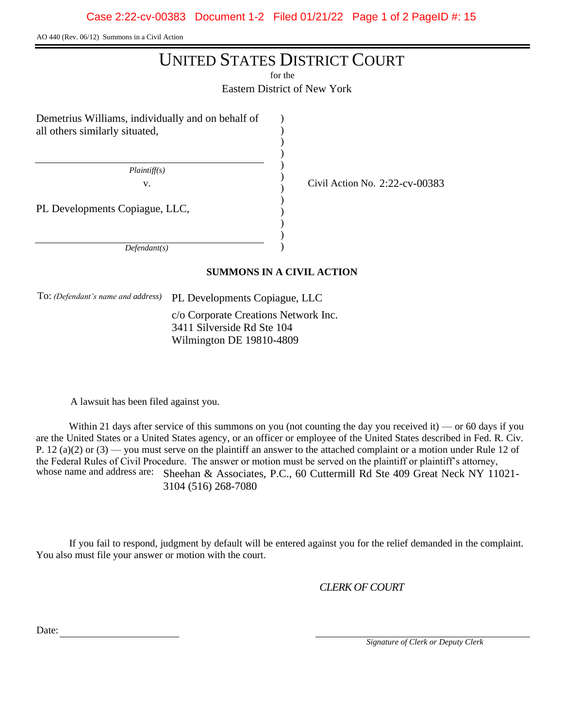AO 440 (Rev. 06/12) Summons in a Civil Action

# UNITED STATES DISTRICT COURT

for the

Eastern District of New York

) ) ) ) ) ) ) ) ) ) ) )

Demetrius Williams, individually and on behalf of all others similarly situated,

 *Plaintiff(s)*

v.  $\frac{1}{2}$  Civil Action No. 2:22-cv-00383

PL Developments Copiague, LLC,

 *Defendant(s)*

# **SUMMONS IN A CIVIL ACTION**

To: *(Defendant's name and address)* PL Developments Copiague, LLC

c/o Corporate Creations Network Inc. 3411 Silverside Rd Ste 104 Wilmington DE 19810-4809

A lawsuit has been filed against you.

Within 21 days after service of this summons on you (not counting the day you received it) — or 60 days if you are the United States or a United States agency, or an officer or employee of the United States described in Fed. R. Civ. P. 12 (a)(2) or  $(3)$  — you must serve on the plaintiff an answer to the attached complaint or a motion under Rule 12 of the Federal Rules of Civil Procedure. The answer or motion must be served on the plaintiff or plaintiff's attorney, whose name and address are: Sheehan & Associates, P.C., 60 Cuttermill Rd Ste 409 Great Neck NY 11021-3104 (516) 268-7080

If you fail to respond, judgment by default will be entered against you for the relief demanded in the complaint. You also must file your answer or motion with the court.

*CLERK OF COURT*

Date:

 *Signature of Clerk or Deputy Clerk*